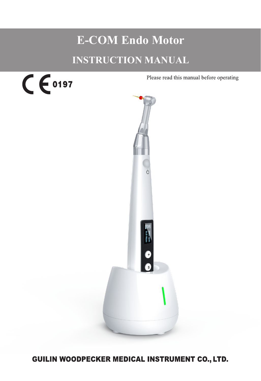# **E-COM Endo Motor INSTRUCTION MANUAL**



Please read this manual before operating



GUILIN WOODPECKER MEDICAL INSTRUMENT CO., LTD.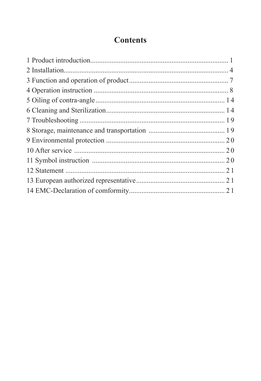### **Contents**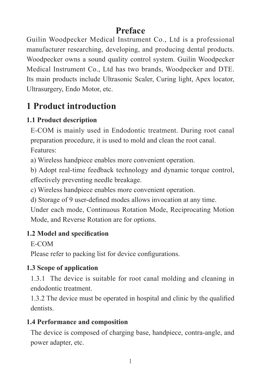### **Preface**

Guilin Woodpecker Medical Instrument Co., Ltd is a professional manufacturer researching, developing, and producing dental products. Woodpecker owns a sound quality control system. Guilin Woodpecker Medical Instrument Co., Ltd has two brands, Woodpecker and DTE. Its main products include Ultrasonic Scaler, Curing light, Apex locator, Ultrasurgery, Endo Motor, etc.

## **1 Product introduction**

#### **1.1 Product description**

E-COM is mainly used in Endodontic treatment. During root canal preparation procedure, it is used to mold and clean the root canal. Features:

a) Wireless handpiece enables more convenient operation.

b) Adopt real-time feedback technology and dynamic torque control, effectively preventing needle breakage.

c) Wireless handpiece enables more convenient operation.

d) Storage of 9 user-defined modes allows invocation at any time.

Under each mode, Continuous Rotation Mode, Reciprocating Motion Mode, and Reverse Rotation are for options.

#### **1.2 Model and specification**

E-COM

Please refer to packing list for device configurations.

#### **1.3 Scope of application**

1.3.1 The device is suitable for root canal molding and cleaning in endodontic treatment.

1.3.2 The device must be operated in hospital and clinic by the qualified dentists.

#### **1.4 Performance and composition**

The device is composed of charging base, handpiece, contra-angle, and power adapter, etc.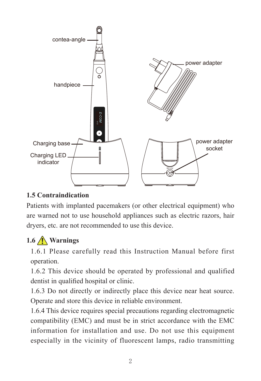

#### **1.5 Contraindication**

Patients with implanted pacemakers (or other electrical equipment) who are warned not to use household appliances such as electric razors, hair dryers, etc. are not recommended to use this device.

### **1.6 Warnings**

1.6.1 Please carefully read this Instruction Manual before first operation.

1.6.2 This device should be operated by professional and qualified dentist in qualified hospital or clinic.

1.6.3 Do not directly or indirectly place this device near heat source. Operate and store this device in reliable environment.

1.6.4 This device requires special precautions regarding electromagnetic compatibility (EMC) and must be in strict accordance with the EMC information for installation and use. Do not use this equipment especially in the vicinity of fluorescent lamps, radio transmitting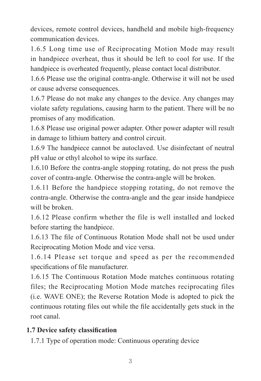devices, remote control devices, handheld and mobile high-frequency communication devices.

1.6.5 Long time use of Reciprocating Motion Mode may result in handpiece overheat, thus it should be left to cool for use. If the handpiece is overheated frequently, please contact local distributor.

1.6.6 Please use the original contra-angle. Otherwise it will not be used or cause adverse consequences.

1.6.7 Please do not make any changes to the device. Any changes may violate safety regulations, causing harm to the patient. There will be no promises of any modification.

1.6.8 Please use original power adapter. Other power adapter will result in damage to lithium battery and control circuit.

1.6.9 The handpiece cannot be autoclaved. Use disinfectant of neutral pH value or ethyl alcohol to wipe its surface.

1.6.10 Before the contra-angle stopping rotating, do not press the push cover of contra-angle. Otherwise the contra-angle will be broken.

1.6.11 Before the handpiece stopping rotating, do not remove the contra-angle. Otherwise the contra-angle and the gear inside handpiece will be broken.

1.6.12 Please confirm whether the file is well installed and locked before starting the handpiece.

1.6.13 The file of Continuous Rotation Mode shall not be used under Reciprocating Motion Mode and vice versa.

1.6.14 Please set torque and speed as per the recommended specifications of file manufacturer.

1.6.15 The Continuous Rotation Mode matches continuous rotating files; the Reciprocating Motion Mode matches reciprocating files (i.e. WAVE ONE); the Reverse Rotation Mode is adopted to pick the continuous rotating files out while the file accidentally gets stuck in the root canal.

#### **1.7 Device safety classification**

1.7.1 Type of operation mode: Continuous operating device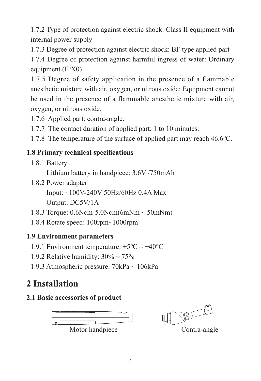1.7.2 Type of protection against electric shock: Class II equipment with internal power supply

1.7.3 Degree of protection against electric shock: BF type applied part

1.7.4 Degree of protection against harmful ingress of water: Ordinary equipment (IPX0)

1.7.5 Degree of safety application in the presence of a flammable anesthetic mixture with air, oxygen, or nitrous oxide: Equipment cannot be used in the presence of a flammable anesthetic mixture with air, oxygen, or nitrous oxide.

- 1.7.6 Applied part: contra-angle.
- 1.7.7 The contact duration of applied part: 1 to 10 minutes.

1.7.8 The temperature of the surface of applied part may reach 46.6℃.

#### **1.8 Primary technical specifications**

1.8.1 Battery

Lithium battery in handpiece: 3.6V /750mAh

1.8.2 Power adapter

Input: ~100V-240V 50Hz/60Hz 0.4A Max

Output: DC5V/1A

- 1.8.3 Torque: 0.6Ncm-5.0Ncm(6mNm ~ 50mNm)
- 1.8.4 Rotate speed: 100rpm~1000rpm

#### **1.9 Environment parameters**

- 1.9.1 Environment temperature: +5℃ ~ +40℃
- 1.9.2 Relative humidity:  $30\% \sim 75\%$
- 1.9.3 Atmospheric pressure: 70kPa ~ 106kPa

## **2 Installation**

#### **2.1 Basic accessories of product**



TE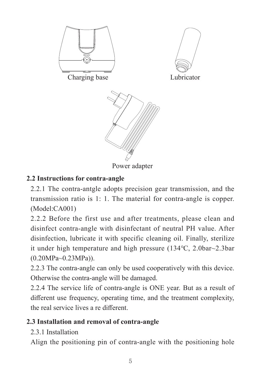

Power adapter

#### **2.2 Instructions for contra-angle**

2.2.1 The contra-antgle adopts precision gear transmission, and the transmission ratio is 1: 1. The material for contra-angle is copper. (Model:CA001)

2.2.2 Before the first use and after treatments, please clean and disinfect contra-angle with disinfectant of neutral PH value. After disinfection, lubricate it with specific cleaning oil. Finally, sterilize it under high temperature and high pressure (134℃, 2.0bar~2.3bar (0.20MPa~0.23MPa)).

2.2.3 The contra-angle can only be used cooperatively with this device. Otherwise the contra-angle will be damaged.

2.2.4 The service life of contra-angle is ONE year. But as a result of different use frequency, operating time, and the treatment complexity, the real service lives a re different.

#### **2.3 Installation and removal of contra-angle**

#### 2.3.1 Installation

Align the positioning pin of contra-angle with the positioning hole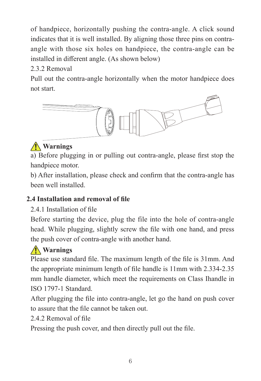of handpiece, horizontally pushing the contra-angle. A click sound indicates that it is well installed. By aligning those three pins on contraangle with those six holes on handpiece, the contra-angle can be installed in different angle. (As shown below)

2.3.2 Removal

Pull out the contra-angle horizontally when the motor handpiece does not start.



### **Warnings**

a) Before plugging in or pulling out contra-angle, please first stop the handpiece motor.

b) After installation, please check and confirm that the contra-angle has been well installed.

#### **2.4 Installation and removal of file**

#### 2.4.1 Installation of file

Before starting the device, plug the file into the hole of contra-angle head. While plugging, slightly screw the file with one hand, and press the push cover of contra-angle with another hand.

### **Warnings**

Please use standard file. The maximum length of the file is 31mm. And the appropriate minimum length of file handle is 11mm with 2.334-2.35 mm handle diameter, which meet the requirements on Class Ihandle in ISO 1797-1 Standard.

After plugging the file into contra-angle, let go the hand on push cover to assure that the file cannot be taken out.

#### 2.4.2 Removal of file

Pressing the push cover, and then directly pull out the file.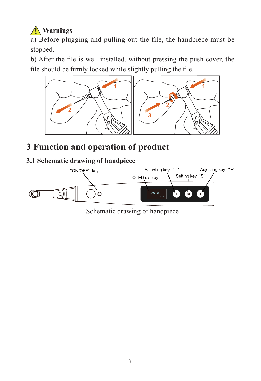## **Warnings**

a) Before plugging and pulling out the file, the handpiece must be stopped.

b) After the file is well installed, without pressing the push cover, the file should be firmly locked while slightly pulling the file.



## **3 Function and operation of product**

#### **3.1 Schematic drawing of handpiece**



Schematic drawing of handpiece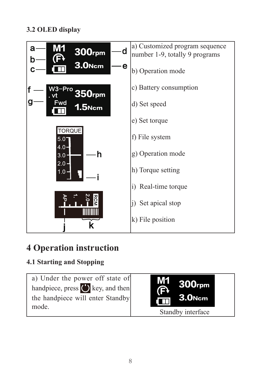#### **3.2 OLED display**



## **4 Operation instruction**

#### **4.1 Starting and Stopping**

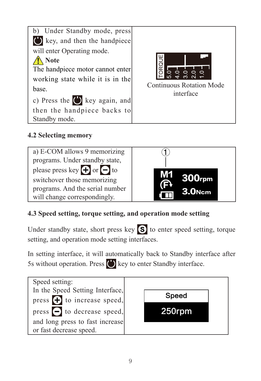

#### **4.2 Selecting memory**



#### **4.3 Speed setting, torque setting, and operation mode setting**

Under standby state, short press key  $\boxed{\mathbf{S}}$  to enter speed setting, torque setting, and operation mode setting interfaces.

In setting interface, it will automatically back to Standby interface after 5s without operation. Press  $\binom{1}{k}$  key to enter Standby interface.

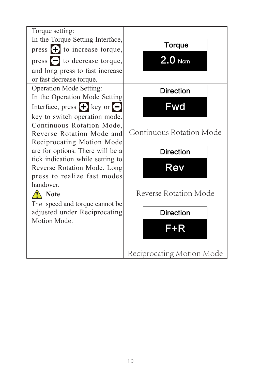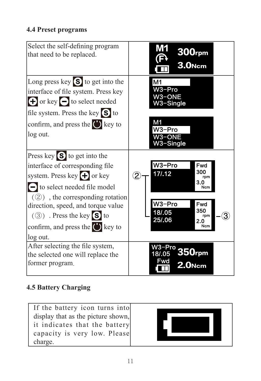#### **4.4 Preset programs**



#### **4.5 Battery Charging**

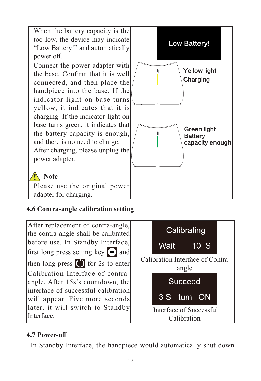

#### **4.6 Contra-angle calibration setting**

After replacement of contra-angle, the contra-angle shall be calibrated before use. In Standby Interface, first long press setting key  $\Box$  and then long press  $\left( \cdot \right)$  for 2s to enter Calibration Interface of contraangle. After 15s's countdown, the interface of successful calibration will appear. Five more seconds later, it will switch to Standby Interface.



#### **4.7 Power-off**

In Standby Interface, the handpiece would automatically shut down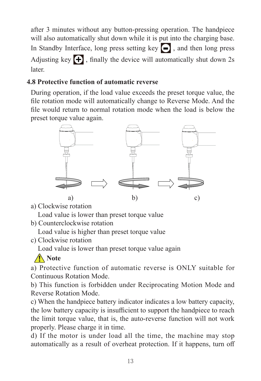after 3 minutes without any button-pressing operation. The handpiece will also automatically shut down while it is put into the charging base. In Standby Interface, long press setting key  $\Box$ , and then long press Adjusting key  $\leftarrow$ , finally the device will automatically shut down 2s later.

#### **4.8 Protective function of automatic reverse**

During operation, if the load value exceeds the preset torque value, the file rotation mode will automatically change to Reverse Mode. And the file would return to normal rotation mode when the load is below the preset torque value again.



a) Clockwise rotation

Load value is lower than preset torque value

b) Counterclockwise rotation

Load value is higher than preset torque value

c) Clockwise rotation

Load value is lower than preset torque value again

### **Note**

a) Protective function of automatic reverse is ONLY suitable for Continuous Rotation Mode.

b) This function is forbidden under Reciprocating Motion Mode and Reverse Rotation Mode.

c) When the handpiece battery indicator indicates a low battery capacity, the low battery capacity is insufficient to support the handpiece to reach the limit torque value, that is, the auto-reverse function will not work properly. Please charge it in time.

d) If the motor is under load all the time, the machine may stop automatically as a result of overheat protection. If it happens, turn off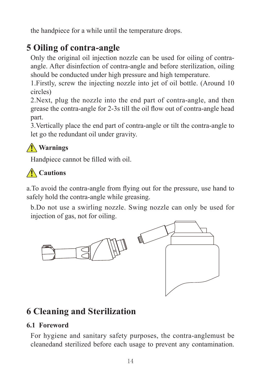the handpiece for a while until the temperature drops.

## **5 Oiling of contra-angle**

Only the original oil injection nozzle can be used for oiling of contraangle. After disinfection of contra-angle and before sterilization, oiling should be conducted under high pressure and high temperature.

1.Firstly, screw the injecting nozzle into jet of oil bottle. (Around 10 circles)

2.Next, plug the nozzle into the end part of contra-angle, and then grease the contra-angle for 2-3s till the oil flow out of contra-angle head part.

3.Vertically place the end part of contra-angle or tilt the contra-angle to let go the redundant oil under gravity.

### **Warnings**

Handpiece cannot be filled with oil.

## **Cautions**

a.To avoid the contra-angle from flying out for the pressure, use hand to safely hold the contra-angle while greasing.

b.Do not use a swirling nozzle. Swing nozzle can only be used for injection of gas, not for oiling.



## **6 Cleaning and Sterilization**

#### **6.1 Foreword**

For hygiene and sanitary safety purposes, the contra-anglemust be cleanedand sterilized before each usage to prevent any contamination.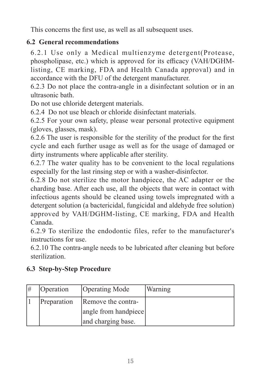This concerns the first use, as well as all subsequent uses.

#### **6.2 General recommendations**

6.2.1 Use only a Medical multienzyme detergent(Protease, phospholipase, etc.) which is approved for its efficacy (VAH/DGHMlisting, CE marking, FDA and Health Canada approval) and in accordance with the DFU of the detergent manufacturer.

6.2.3 Do not place the contra-angle in a disinfectant solution or in an ultrasonic bath.

Do not use chloride detergent materials.

6.2.4 Do not use bleach or chloride disinfectant materials.

6.2.5 For your own safety, please wear personal protective equipment (gloves, glasses, mask).

6.2.6 The user is responsible for the sterility of the product for the first cycle and each further usage as well as for the usage of damaged or dirty instruments where applicable after sterility.

6.2.7 The water quality has to be convenient to the local regulations especially for the last rinsing step or with a washer-disinfector.

6.2.8 Do not sterilize the motor handpiece, the AC adapter or the charding base. After each use, all the objects that were in contact with infectious agents should be cleaned using towels impregnated with a detergent solution (a bactericidal, fungicidal and aldehyde free solution) approved by VAH/DGHM-listing, CE marking, FDA and Health Canada.

6.2.9 To sterilize the endodontic files, refer to the manufacturer's instructions for use.

6.2.10 The contra-angle needs to be lubricated after cleaning but before sterilization.

| l# | Operation   | Operating Mode       | Warning |
|----|-------------|----------------------|---------|
|    | Preparation | Remove the contra-   |         |
|    |             | angle from handpiece |         |
|    |             | and charging base.   |         |

#### **6.3 Step-by-Step Procedure**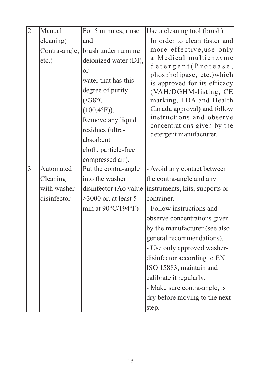| $\overline{2}$ | Manual       | For 5 minutes, rinse              | Use a cleaning tool (brush).                               |
|----------------|--------------|-----------------------------------|------------------------------------------------------------|
|                | cleaning(    | and                               | In order to clean faster and                               |
|                |              | Contra-angle, brush under running | more effective, use only                                   |
|                | $etc.$ )     | deionized water (DI),             | a Medical multienzyme                                      |
|                |              | or                                | detergent (Protease,                                       |
|                |              | water that has this               | phospholipase, etc.) which<br>is approved for its efficacy |
|                |              | degree of purity                  | (VAH/DGHM-listing, CE                                      |
|                |              | $(<38^{\circ}C$                   | marking, FDA and Health                                    |
|                |              | $(100.4^{\circ}F)$ ).             | Canada approval) and follow                                |
|                |              | Remove any liquid                 | instructions and observe                                   |
|                |              | residues (ultra-                  | concentrations given by the                                |
|                |              | absorbent                         | detergent manufacturer.                                    |
|                |              | cloth, particle-free              |                                                            |
|                |              | compressed air).                  |                                                            |
| $\overline{3}$ | Automated    | Put the contra-angle              | - Avoid any contact between                                |
|                | Cleaning     | into the washer                   | the contra-angle and any                                   |
|                | with washer- | disinfector (Ao value             | instruments, kits, supports or                             |
|                | disinfector  | $>3000$ or, at least 5            | container.                                                 |
|                |              | min at $90^{\circ}$ C/194°F)      | - Follow instructions and                                  |
|                |              |                                   | observe concentrations given                               |
|                |              |                                   | by the manufacturer (see also                              |
|                |              |                                   | general recommendations).                                  |
|                |              |                                   | - Use only approved washer-                                |
|                |              |                                   | disinfector according to EN                                |
|                |              |                                   | ISO 15883, maintain and                                    |
|                |              |                                   | calibrate it regularly.                                    |
|                |              |                                   | - Make sure contra-angle, is                               |
|                |              |                                   | dry before moving to the next                              |
|                |              |                                   | step.                                                      |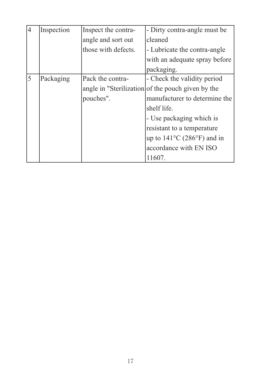| $\overline{4}$ | Inspection | Inspect the contra- | - Dirty contra-angle must be                      |
|----------------|------------|---------------------|---------------------------------------------------|
|                |            | angle and sort out  | cleaned                                           |
|                |            | those with defects. | - Lubricate the contra-angle                      |
|                |            |                     | with an adequate spray before                     |
|                |            |                     | packaging.                                        |
| 5              | Packaging  | Pack the contra-    | - Check the validity period                       |
|                |            |                     | angle in "Sterilization of the pouch given by the |
|                |            | pouches".           | manufacturer to determine the                     |
|                |            |                     | shelf life.                                       |
|                |            |                     | - Use packaging which is                          |
|                |            |                     | resistant to a temperature                        |
|                |            |                     | up to $141^{\circ}$ C (286°F) and in              |
|                |            |                     | accordance with EN ISO                            |
|                |            |                     | 11607.                                            |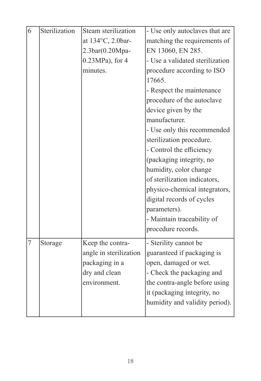| 6 | Sterilization | Steam sterilization    | - Use only autoclaves that are  |
|---|---------------|------------------------|---------------------------------|
|   |               | at 134°C, 2.0bar-      | matching the requirements of    |
|   |               | 2.3bar(0.20Mpa-        | EN 13060, EN 285.               |
|   |               | $0.23MPa$ , for 4      | - Use a validated sterilization |
|   |               | minutes.               | procedure according to ISO      |
|   |               |                        | 17665.                          |
|   |               |                        | - Respect the maintenance       |
|   |               |                        | procedure of the autoclave      |
|   |               |                        | device given by the             |
|   |               |                        | manufacturer.                   |
|   |               |                        | - Use only this recommended     |
|   |               |                        | sterilization procedure.        |
|   |               |                        | - Control the efficiency        |
|   |               |                        | (packaging integrity, no        |
|   |               |                        | humidity, color change          |
|   |               |                        | of sterilization indicators,    |
|   |               |                        | physico-chemical integrators,   |
|   |               |                        | digital records of cycles       |
|   |               |                        | parameters).                    |
|   |               |                        | - Maintain traceability of      |
|   |               |                        | procedure records.              |
| 7 | Storage       | Keep the contra-       | - Sterility cannot be           |
|   |               | angle in sterilization | guaranteed if packaging is      |
|   |               | packaging in a         | open, damaged or wet.           |
|   |               | dry and clean          | - Check the packaging and       |
|   |               | environment.           | the contra-angle before using   |
|   |               |                        | it (packaging integrity, no     |
|   |               |                        | humidity and validity period).  |
|   |               |                        |                                 |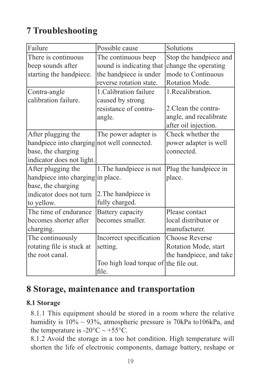## **7 Troubleshooting**

| Failure                                     | Possible cause                        | Solutions               |
|---------------------------------------------|---------------------------------------|-------------------------|
| There is continuous                         | The continuous beep                   | Stop the handpiece and  |
| beep sounds after                           | sound is indicating that              | change the operating    |
| starting the handpiece.                     | the handpiece is under                | mode to Continuous      |
|                                             | reverse rotation state.               | Rotation Mode.          |
| Contra-angle                                | 1. Calibration failure                | 1. Recalibration.       |
| calibration failure.                        | caused by strong                      |                         |
|                                             | resistance of contra-                 | 2. Clean the contra-    |
|                                             | angle.                                | angle, and recalibrate  |
|                                             |                                       | after oil injection.    |
| After plugging the                          | The power adapter is                  | Check whether the       |
| handpiece into charging not well connected. |                                       | power adapter is well   |
| base, the charging                          |                                       | connected.              |
| indicator does not light.                   |                                       |                         |
| After plugging the                          | 1. The handpiece is not               | Plug the handpiece in   |
| handpiece into charging in place.           |                                       | place.                  |
| base, the charging                          |                                       |                         |
| indicator does not turn                     | 2. The handpiece is                   |                         |
| to yellow.                                  | fully charged.                        |                         |
| The time of endurance                       | Battery capacity                      | Please contact          |
| becomes shorter after                       | becomes smaller.                      | local distributor or    |
| charging.                                   |                                       | manufacturer.           |
| The continuously                            | Incorrect specification               | <b>Choose Reverse</b>   |
| rotating file is stuck at                   | setting.                              | Rotation Mode, start    |
| the root canal.                             |                                       | the handpiece, and take |
|                                             | Too high load torque of the file out. |                         |
|                                             | file.                                 |                         |

### **8 Storage, maintenance and transportation**

#### **8.1 Storage**

8.1.1 This equipment should be stored in a room where the relative humidity is 10% ~ 93%, atmospheric pressure is 70kPa to106kPa, and the temperature is  $-20\degree C \sim +55\degree C$ .

8.1.2 Avoid the storage in a too hot condition. High temperature will shorten the life of electronic components, damage battery, reshape or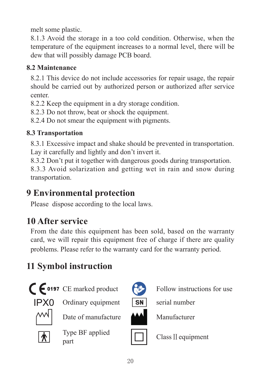melt some plastic.

8.1.3 Avoid the storage in a too cold condition. Otherwise, when the temperature of the equipment increases to a normal level, there will be dew that will possibly damage PCB board.

#### **8.2 Maintenance**

8.2.1 This device do not include accessories for repair usage, the repair should be carried out by authorized person or authorized after service center.

8.2.2 Keep the equipment in a dry storage condition.

8.2.3 Do not throw, beat or shock the equipment.

8.2.4 Do not smear the equipment with pigments.

#### **8.3 Transportation**

8.3.1 Excessive impact and shake should be prevented in transportation. Lay it carefully and lightly and don't invert it.

8.3.2 Don't put it together with dangerous goods during transportation.

8.3.3 Avoid solarization and getting wet in rain and snow during transportation.

## **9 Environmental protection**

Please dispose according to the local laws.

## **10 After service**

From the date this equipment has been sold, based on the warranty card, we will repair this equipment free of charge if there are quality problems. Please refer to the warranty card for the warranty period.

## **11 Symbol instruction**



**CE** 0197 CE marked product Follow instructions for use



 $IPXO$  Ordinary equipment  $\boxed{SN}$  serial number



Date of manufacture **MAN** Manufacturer



Type BF applied







part class II equipment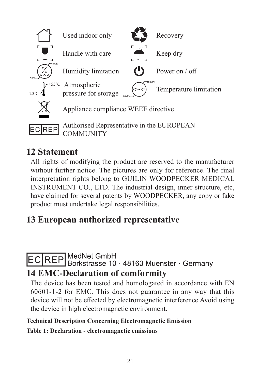

## **12 Statement**

All rights of modifying the product are reserved to the manufacturer without further notice. The pictures are only for reference. The final interpretation rights belong to GUILIN WOODPECKER MEDICAL INSTRUMENT CO., LTD. The industrial design, inner structure, etc, have claimed for several patents by WOODPECKER, any copy or fake product must undertake legal responsibilities.

## **13 European authorized representative**

#### MedNet GmbH Borkstrasse 10 48163 Muenster Germany **14 EMC-Declaration of comformity**

The device has been tested and homologated in accordance with EN 60601-1-2 for EMC. This does not guarantee in any way that this device will not be effected by electromagnetic interference Avoid using the device in high electromagnetic environment.

#### **Technical Description Concerning Electromagnetic Emission**

**Table 1: Declaration - electromagnetic emissions**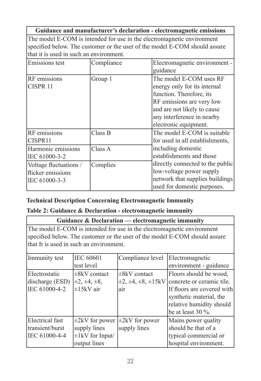|                                                              |                                                           | Guidance and manufacturer's declaration - electromagnetic emissions                                                                                                                                    |  |
|--------------------------------------------------------------|-----------------------------------------------------------|--------------------------------------------------------------------------------------------------------------------------------------------------------------------------------------------------------|--|
| that it is used in such an environment.                      |                                                           | The model E-COM is intended for use in the electromagnetic environment<br>specified below. The customer or the user of the model E-COM should assure                                                   |  |
| Emissions test                                               | Compliance<br>Electromagnetic environment -<br>guidance   |                                                                                                                                                                                                        |  |
| RF emissions<br>CISPR <sub>11</sub>                          | Group 1                                                   | The model E-COM uses RF<br>energy only for its internal<br>function. Therefore, its<br>RF emissions are very low<br>and are not likely to cause<br>any interference in nearby<br>electronic equipment. |  |
| RF emissions<br>CISPR11                                      | Class B                                                   | The model E-COM is suitable<br>for used in all establishments,                                                                                                                                         |  |
| Harmonic emissions<br>IEC 61000-3-2                          | including domestic<br>Class A<br>establishments and those |                                                                                                                                                                                                        |  |
| Voltage fluctuations /<br>flicker emissions<br>IEC 61000-3-3 | Complies                                                  | directly connected to the public<br>low-voltage power supply<br>network that supplies buildings<br>used for domestic purposes.                                                                         |  |

#### **Technical Description Concerning Electromagnetic Immunity**

#### **Table 2: Guidance & Declaration - electromagnetic immunity**

|                                         |                                                | Guidance & Declaration — electromagnetic immunity |                                                                            |  |
|-----------------------------------------|------------------------------------------------|---------------------------------------------------|----------------------------------------------------------------------------|--|
|                                         |                                                |                                                   | The model E-COM is intended for use in the electromagnetic environment     |  |
|                                         |                                                |                                                   | specified below. The customer or the user of the model E-COM should assure |  |
| that It is used in such an environment. |                                                |                                                   |                                                                            |  |
| Immunity test                           | <b>IEC 60601</b>                               | Compliance level                                  | Electromagnetic                                                            |  |
|                                         | test level                                     |                                                   | environment - guidance                                                     |  |
| Electrostatic                           | $\pm$ 8kV contact                              | $\pm 8kV$ contact                                 | Floors should be wood,                                                     |  |
| discharge (ESD)                         | $\pm 2, \pm 4, \pm 8,$                         |                                                   | $\pm 2, \pm 4, \pm 8, \pm 15$ kV concrete or ceramic tile.                 |  |
| IEC 61000-4-2                           | ±15kV air<br>If floors are covered with<br>air |                                                   |                                                                            |  |
|                                         |                                                |                                                   | synthetic material, the                                                    |  |
|                                         |                                                |                                                   | relative humidity should                                                   |  |
|                                         |                                                |                                                   | be at least $30\%$ .                                                       |  |
| Electrical fast                         | $\pm 2kV$ for power                            | $\pm 2kV$ for power                               | Mains power quality                                                        |  |
| transient/burst                         | supply lines                                   | supply lines                                      | should be that of a                                                        |  |
| IEC 61000-4-4                           | $\pm 1$ kV for Input/                          |                                                   | typical commercial or                                                      |  |
|                                         | output lines                                   |                                                   | hospital environment.                                                      |  |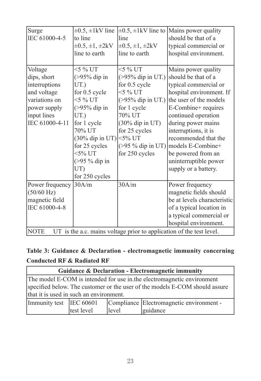| Surge                                                                               | $\pm 0.5$ , $\pm 1$ kV line | $\pm 0.5$ , $\pm 1$ kV line to | Mains power quality                      |  |  |
|-------------------------------------------------------------------------------------|-----------------------------|--------------------------------|------------------------------------------|--|--|
| IEC 61000-4-5                                                                       | to line                     | line                           | should be that of a                      |  |  |
|                                                                                     | $\pm 0.5, \pm 1, \pm 2kV$   | $\pm 0.5, \pm 1, \pm 2kV$      | typical commercial or                    |  |  |
|                                                                                     | line to earth               | line to earth                  | hospital environment.                    |  |  |
|                                                                                     |                             |                                |                                          |  |  |
| Voltage                                                                             | $<$ 5 % UT                  | $<$ 5 % UT                     | Mains power quality                      |  |  |
| dips, short                                                                         | $(>95\%$ dip in             |                                | (>95% dip in UT.) should be that of a    |  |  |
| interruptions                                                                       | UT.)                        | for 0.5 cycle                  | typical commercial or                    |  |  |
| and voltage                                                                         | for 0.5 cycle               | $<$ 5 % UT                     | hospital environment. If                 |  |  |
| variations on                                                                       | $<$ 5 % UT                  |                                | (>95% dip in UT.) the user of the models |  |  |
| power supply                                                                        | $(>95\%$ dip in             | for 1 cycle                    | E-Combine+ requires                      |  |  |
| input lines                                                                         | UT.)                        | 70% UT                         | continued operation                      |  |  |
| IEC 61000-4-11                                                                      | for 1 cycle                 | $(30\%$ dip in UT)             | during power mains                       |  |  |
|                                                                                     | 70% UT                      | for 25 cycles                  | interruptions, it is                     |  |  |
|                                                                                     | (30% dip in UT) <5% UT      |                                | recommended that the                     |  |  |
|                                                                                     | for 25 cycles               | $($ >95 % dip in UT)           | models E-Combine+                        |  |  |
|                                                                                     | $<$ 5% UT                   | for 250 cycles                 | be powered from an                       |  |  |
|                                                                                     | (>95 % dip in               |                                | uninterruptible power                    |  |  |
|                                                                                     | UT)                         |                                | supply or a battery.                     |  |  |
|                                                                                     | for 250 cycles              |                                |                                          |  |  |
| Power frequency                                                                     | 30A/m                       | 30A/m                          | Power frequency                          |  |  |
| (50/60 Hz)                                                                          |                             |                                | magnetic fields should                   |  |  |
| magnetic field                                                                      |                             |                                | be at levels characteristic              |  |  |
| IEC 61000-4-8                                                                       |                             |                                | of a typical location in                 |  |  |
|                                                                                     |                             |                                | a typical commercial or                  |  |  |
|                                                                                     |                             |                                | hospital environment.                    |  |  |
| UT is the a.c. mains voltage prior to application of the test level.<br><b>NOTE</b> |                             |                                |                                          |  |  |

#### **Table 3: Guidance & Declaration - electromagnetic immunity concerning Conducted RF & Radiated RF**

| Guidance & Declaration - Electromagnetic immunity                                                                                                                                                |  |  |  |  |
|--------------------------------------------------------------------------------------------------------------------------------------------------------------------------------------------------|--|--|--|--|
| The model E-COM is intended for use in the electromagnetic environment<br>specified below. The customer or the user of the models E-COM should assure<br>that it is used in such an environment. |  |  |  |  |
| Immunity test IEC 60601<br>Compliance Electromagnetic environment -<br>test level<br>level<br>guidance                                                                                           |  |  |  |  |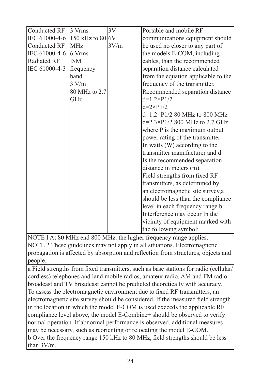| Conducted RF                   | 3 Vrms        | 3V   | Portable and mobile RF                |
|--------------------------------|---------------|------|---------------------------------------|
| IEC 61000-4-6 150 kHz to 80 6V |               |      | communications equipment should       |
| Conducted RF                   | <b>MHz</b>    | 3V/m | be used no closer to any part of      |
| IEC 61000-4-6                  | 16 Vrms       |      | the models E-COM, including           |
| Radiated RF                    | <b>ISM</b>    |      | cables, than the recommended          |
| IEC 61000-4-3                  | frequency     |      | separation distance calculated        |
|                                | band          |      | from the equation applicable to the   |
|                                | 3 V/m         |      | frequency of the transmitter.         |
|                                | 80 MHz to 2.7 |      | Recommended separation distance       |
|                                | <b>GHz</b>    |      | $d=1.2\times P1/2$                    |
|                                |               |      | $d=2\times P1/2$                      |
|                                |               |      | d=1.2×P1/2 80 MHz to 800 MHz          |
|                                |               |      | $d=2.3\times P1/2$ 800 MHz to 2.7 GHz |
|                                |               |      | where P is the maximum output         |
|                                |               |      | power rating of the transmitter       |
|                                |               |      | In watts (W) according to the         |
|                                |               |      | transmitter manufacturer and d        |
|                                |               |      | Is the recommended separation         |
|                                |               |      | distance in meters (m).               |
|                                |               |      | Field strengths from fixed RF         |
|                                |               |      | transmitters, as determined by        |
|                                |               |      | an electromagnetic site survey,a      |
|                                |               |      | should be less than the compliance    |
|                                |               |      | level in each frequency range.b       |
|                                |               |      | Interference may occur In the         |
|                                |               |      | vicinity of equipment marked with     |
|                                |               |      | the following symbol:                 |

NOTE I At 80 MHz end 800 MHz. the higher frequency range applies. NOTE 2 These guidelines may not apply in all situations. Electromagnetic propagation is affected by absorption and reflection from structures, objects and people.

a Field strengths from fixed transmitters, such as base stations for radio (cellular/ cordless) telephones and land mobile radios, amateur radio, AM and FM radio broadcast and TV broadcast cannot be predicted theoretically with accuracy. To assess the electromagnetic environment due to fixed RF transmitters, an electromagnetic site survey should be considered. If the measured field strength in the location in which the model E-COM is used exceeds the applicable RF compliance level above, the model E-Combine+ should be observed to verify normal operation. If abnormal performance is observed, additional measures may be necessary, such as reorienting or relocating the model E-COM. b Over the frequency range 150 kHz to 80 MHz, field strengths should be less than 3V/m.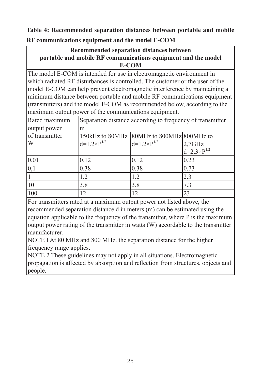**Table 4: Recommended separation distances between portable and mobile RF communications equipment and the model E-COM**

#### **Recommended separation distances between portable and mobile RF communications equipment and the model E-COM**

The model E-COM is intended for use in electromagnetic environment in which radiated RF disturbances is controlled. The customer or the user of the model E-COM can help prevent electromagnetic interference by maintaining a minimum distance between portable and mobile RF communications equipment (transmitters) and the model E-COM as recommended below, according to the maximum output power of the communications equipment.

| Rated maximum  | Separation distance according to frequency of transmitter |                                           |                                     |  |
|----------------|-----------------------------------------------------------|-------------------------------------------|-------------------------------------|--|
| output power   | m                                                         |                                           |                                     |  |
| of transmitter |                                                           | 150kHz to 80MHz 80MHz to 800MHz 800MHz to |                                     |  |
| W              | $d=1.2\times P^{1/2}$                                     | $d=1.2\times P^{1/2}$                     |                                     |  |
|                |                                                           |                                           | $2,7$ GHz<br>d=2.3×P <sup>1/2</sup> |  |
| 0,01           | 0.12                                                      | 0.12                                      | 0.23                                |  |
| 0,1            | 0.38                                                      | 0.38                                      | 0.73                                |  |
|                | 1.2                                                       | 1.2                                       | 2.3                                 |  |
| 10             | 3.8                                                       | 3.8                                       | 7.3                                 |  |
| 100            | 12                                                        | 12                                        | 23                                  |  |

For transmitters rated at a maximum output power not listed above, the recommended separation distance d in meters (m) can be estimated using the equation applicable to the frequency of the transmitter, where P is the maximum output power rating of the transmitter in watts (W) accordable to the transmitter manufacturer.

NOTE I At 80 MHz and 800 MHz. the separation distance for the higher frequency range applies.

NOTE 2 These guidelines may not apply in all situations. Electromagnetic propagation is affected by absorption and reflection from structures, objects and people.